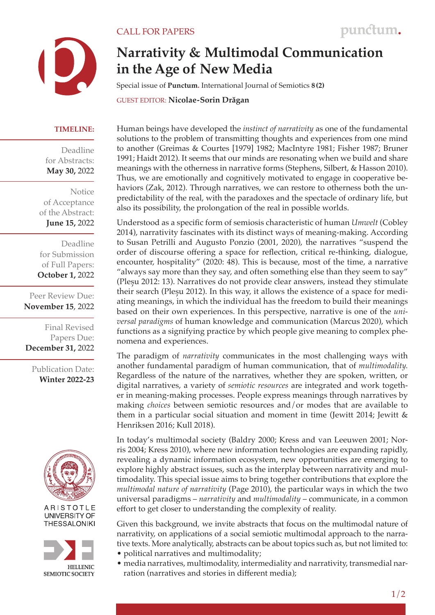

## **Narrativity & Multimodal Communication in the Age of New Media**

Special issue of **Punctum.** International Journal of Semiotics **8 (2)**

GUEST EDITOR: **Nicolae-Sorin Drăgan**

## **TIMELINE:**

Deadline for Abstracts: **May 30,** 2022

Notice of Acceptance of the Abstract: **June 15,** 2022

Deadline for Submission of Full Papers: **October 1,** 2022

Peer Review Due: **November 15**, 2022

Final Revised Papers Due: **December 31,** 2022

Publication Date: **Winter 2022-23**



ARISTOTLE UNIVERSITY OF **THESSALONIKI** 



Human beings have developed the *instinct of narrativity* as one of the fundamental solutions to the problem of transmitting thoughts and experiences from one mind to another (Greimas & Courtes [1979] 1982; MacIntyre 1981; Fisher 1987; Bruner 1991; Haidt 2012). It seems that our minds are resonating when we build and share meanings with the otherness in narrative forms (Stephens, Silbert, & Hasson 2010). Thus, we are emotionally and cognitively motivated to engage in cooperative behaviors (Zak, 2012). Through narratives, we can restore to otherness both the unpredictability of the real, with the paradoxes and the spectacle of ordinary life, but also its possibility, the prolongation of the real in possible worlds.

Understood as a specific form of semiosis characteristic of human *Umwelt* (Cobley 2014), narrativity fascinates with its distinct ways of meaning-making. According to Susan Petrilli and Augusto Ponzio (2001, 2020), the narratives "suspend the order of discourse offering a space for reflection, critical re-thinking, dialogue, encounter, hospitality" (2020: 48). This is because, most of the time, a narrative "always say more than they say, and often something else than they seem to say" (Pleșu 2012: 13). Narratives do not provide clear answers, instead they stimulate their search (Plesu 2012). In this way, it allows the existence of a space for mediating meanings, in which the individual has the freedom to build their meanings based on their own experiences. In this perspective, narrative is one of the *universal paradigms* of human knowledge and communication (Marcus 2020), which functions as a signifying practice by which people give meaning to complex phenomena and experiences.

The paradigm of *narrativity* communicates in the most challenging ways with another fundamental paradigm of human communication, that of *multimodality.*  Regardless of the nature of the narratives, whether they are spoken, written, or digital narratives, a variety of *semiotic resources* are integrated and work together in meaning-making processes. People express meanings through narratives by making *choices* between semiotic resources and/or modes that are available to them in a particular social situation and moment in time (Jewitt 2014; Jewitt & Henriksen 2016; Kull 2018).

In today's multimodal society (Baldry 2000; Kress and van Leeuwen 2001; Norris 2004; Kress 2010), where new information technologies are expanding rapidly, revealing a dynamic information ecosystem, new opportunities are emerging to explore highly abstract issues, such as the interplay between narrativity and multimodality. This special issue aims to bring together contributions that explore the *multimodal nature of narrativity* (Page 2010), the particular ways in which the two universal paradigms – *narrativity* and *multimodality* – communicate, in a common effort to get closer to understanding the complexity of reality.

Given this background, we invite abstracts that focus on the multimodal nature of narrativity, on applications of a social semiotic multimodal approach to the narrative texts. More analytically, abstracts can be about topics such as, but not limited to:

- political narratives and multimodality;
- media narratives, multimodality, intermediality and narrativity, transmedial nar ration (narratives and stories in different media);